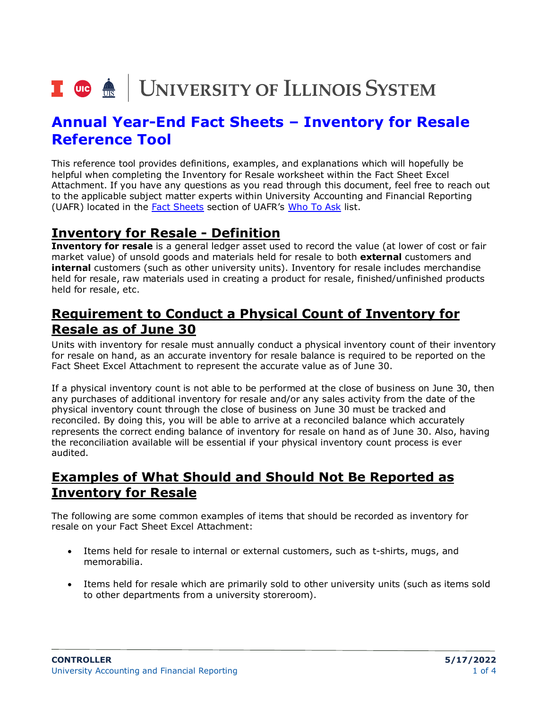# I **@ A** UNIVERSITY OF ILLINOIS SYSTEM

# **Annual Year-End Fact Sheets – Inventory for Resale Reference Tool**

This reference tool provides definitions, examples, and explanations which will hopefully be helpful when completing the Inventory for Resale worksheet within the Fact Sheet Excel Attachment. If you have any questions as you read through this document, feel free to reach out to the applicable subject matter experts within University Accounting and Financial Reporting (UAFR) located in the [Fact Sheets](https://www.obfs.uillinois.edu/accounting-financial-reporting/who-to-ask/types-questions#fact-sheets) section of UAFR's [Who To Ask](https://www.obfs.uillinois.edu/accounting-financial-reporting/who-to-ask/types-questions) list.

#### **Inventory for Resale - Definition**

**Inventory for resale** is a general ledger asset used to record the value (at lower of cost or fair market value) of unsold goods and materials held for resale to both **external** customers and **internal** customers (such as other university units). Inventory for resale includes merchandise held for resale, raw materials used in creating a product for resale, finished/unfinished products held for resale, etc.

#### **Requirement to Conduct a Physical Count of Inventory for Resale as of June 30**

Units with inventory for resale must annually conduct a physical inventory count of their inventory for resale on hand, as an accurate inventory for resale balance is required to be reported on the Fact Sheet Excel Attachment to represent the accurate value as of June 30.

If a physical inventory count is not able to be performed at the close of business on June 30, then any purchases of additional inventory for resale and/or any sales activity from the date of the physical inventory count through the close of business on June 30 must be tracked and reconciled. By doing this, you will be able to arrive at a reconciled balance which accurately represents the correct ending balance of inventory for resale on hand as of June 30. Also, having the reconciliation available will be essential if your physical inventory count process is ever audited.

#### **Examples of What Should and Should Not Be Reported as Inventory for Resale**

The following are some common examples of items that should be recorded as inventory for resale on your Fact Sheet Excel Attachment:

- Items held for resale to internal or external customers, such as t-shirts, mugs, and memorabilia.
- Items held for resale which are primarily sold to other university units (such as items sold to other departments from a university storeroom).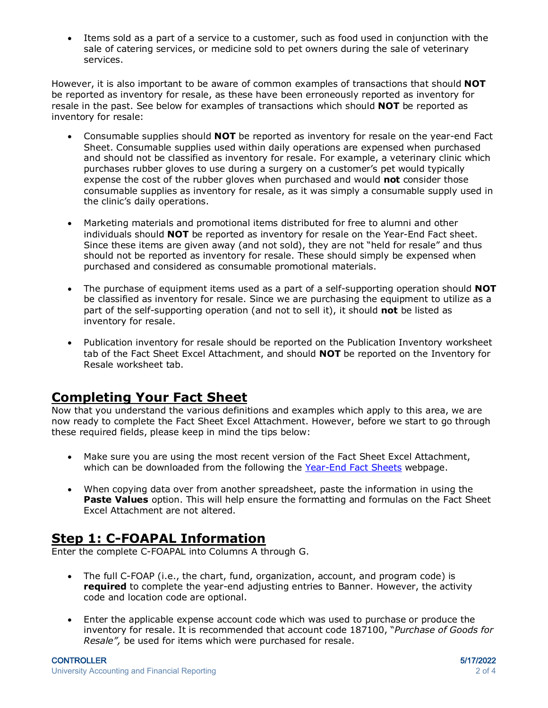• Items sold as a part of a service to a customer, such as food used in conjunction with the sale of catering services, or medicine sold to pet owners during the sale of veterinary services.

However, it is also important to be aware of common examples of transactions that should **NOT** be reported as inventory for resale, as these have been erroneously reported as inventory for resale in the past. See below for examples of transactions which should **NOT** be reported as inventory for resale:

- Consumable supplies should **NOT** be reported as inventory for resale on the year-end Fact Sheet. Consumable supplies used within daily operations are expensed when purchased and should not be classified as inventory for resale. For example, a veterinary clinic which purchases rubber gloves to use during a surgery on a customer's pet would typically expense the cost of the rubber gloves when purchased and would **not** consider those consumable supplies as inventory for resale, as it was simply a consumable supply used in the clinic's daily operations.
- Marketing materials and promotional items distributed for free to alumni and other individuals should **NOT** be reported as inventory for resale on the Year-End Fact sheet. Since these items are given away (and not sold), they are not "held for resale" and thus should not be reported as inventory for resale. These should simply be expensed when purchased and considered as consumable promotional materials.
- The purchase of equipment items used as a part of a self-supporting operation should **NOT** be classified as inventory for resale. Since we are purchasing the equipment to utilize as a part of the self-supporting operation (and not to sell it), it should **not** be listed as inventory for resale.
- Publication inventory for resale should be reported on the Publication Inventory worksheet tab of the Fact Sheet Excel Attachment, and should **NOT** be reported on the Inventory for Resale worksheet tab.

### **Completing Your Fact Sheet**

Now that you understand the various definitions and examples which apply to this area, we are now ready to complete the Fact Sheet Excel Attachment. However, before we start to go through these required fields, please keep in mind the tips below:

- Make sure you are using the most recent version of the Fact Sheet Excel Attachment, which can be downloaded from the following the [Year-End Fact Sheets](https://www.obfs.uillinois.edu/accounting-financial-reporting/year-end-procedures/fact-sheets/) webpage.
- When copying data over from another spreadsheet, paste the information in using the **Paste Values** option. This will help ensure the formatting and formulas on the Fact Sheet Excel Attachment are not altered.

#### **Step 1: C-FOAPAL Information**

Enter the complete C-FOAPAL into Columns A through G.

- The full C-FOAP (i.e., the chart, fund, organization, account, and program code) is **required** to complete the year-end adjusting entries to Banner. However, the activity code and location code are optional.
- Enter the applicable expense account code which was used to purchase or produce the inventory for resale. It is recommended that account code 187100, "*Purchase of Goods for Resale",* be used for items which were purchased for resale.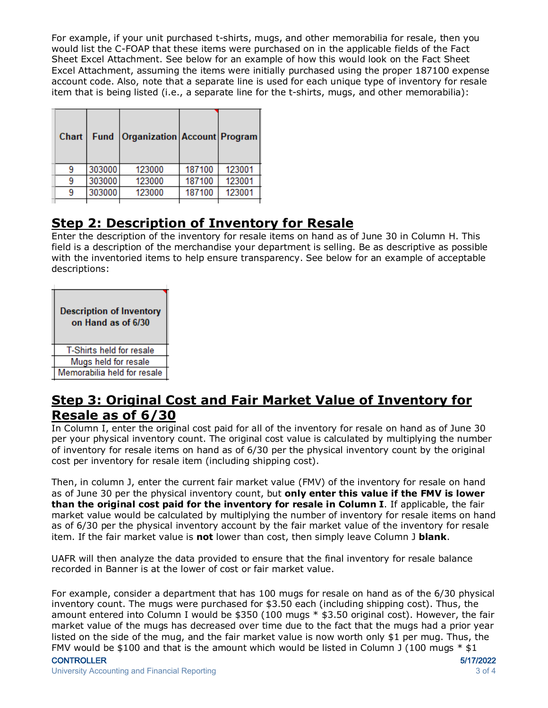For example, if your unit purchased t-shirts, mugs, and other memorabilia for resale, then you would list the C-FOAP that these items were purchased on in the applicable fields of the Fact Sheet Excel Attachment. See below for an example of how this would look on the Fact Sheet Excel Attachment, assuming the items were initially purchased using the proper 187100 expense account code. Also, note that a separate line is used for each unique type of inventory for resale item that is being listed (i.e., a separate line for the t-shirts, mugs, and other memorabilia):

| Chart | <b>Fund</b> | Organization   Account   Program |        |        |
|-------|-------------|----------------------------------|--------|--------|
|       | 303000      | 123000                           | 187100 | 123001 |
|       | 303000      | 123000                           | 187100 | 123001 |
|       | 303000      | 123000                           | 187100 | 123001 |
|       |             |                                  |        |        |

#### **Step 2: Description of Inventory for Resale**

Enter the description of the inventory for resale items on hand as of June 30 in Column H. This field is a description of the merchandise your department is selling. Be as descriptive as possible with the inventoried items to help ensure transparency. See below for an example of acceptable descriptions:

| <b>Description of Inventory</b><br>on Hand as of 6/30 |
|-------------------------------------------------------|
| T-Shirts held for resale                              |
| Mugs held for resale                                  |
| Memorabilia held for resale                           |

#### **Step 3: Original Cost and Fair Market Value of Inventory for Resale as of 6/30**

In Column I, enter the original cost paid for all of the inventory for resale on hand as of June 30 per your physical inventory count. The original cost value is calculated by multiplying the number of inventory for resale items on hand as of 6/30 per the physical inventory count by the original cost per inventory for resale item (including shipping cost).

Then, in column J, enter the current fair market value (FMV) of the inventory for resale on hand as of June 30 per the physical inventory count, but **only enter this value if the FMV is lower than the original cost paid for the inventory for resale in Column I**. If applicable, the fair market value would be calculated by multiplying the number of inventory for resale items on hand as of 6/30 per the physical inventory account by the fair market value of the inventory for resale item. If the fair market value is **not** lower than cost, then simply leave Column J **blank**.

UAFR will then analyze the data provided to ensure that the final inventory for resale balance recorded in Banner is at the lower of cost or fair market value.

For example, consider a department that has 100 mugs for resale on hand as of the 6/30 physical inventory count. The mugs were purchased for \$3.50 each (including shipping cost). Thus, the amount entered into Column I would be \$350 (100 mugs \* \$3.50 original cost). However, the fair market value of the mugs has decreased over time due to the fact that the mugs had a prior year listed on the side of the mug, and the fair market value is now worth only \$1 per mug. Thus, the FMV would be \$100 and that is the amount which would be listed in Column J (100 mugs  $*$  \$1

#### CONTROLLER 5/17/2022